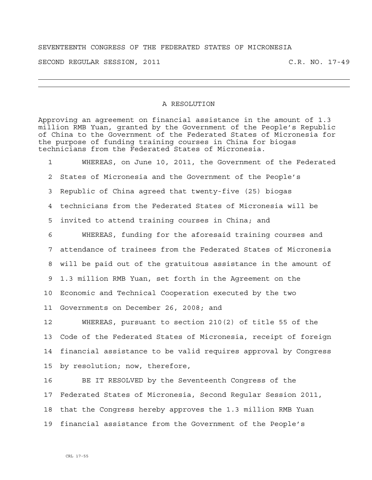## SEVENTEENTH CONGRESS OF THE FEDERATED STATES OF MICRONESIA

SECOND REGULAR SESSION, 2011 C.R. NO. 17-49

## A RESOLUTION

Approving an agreement on financial assistance in the amount of 1.3 million RMB Yuan, granted by the Government of the People's Republic of China to the Government of the Federated States of Micronesia for the purpose of funding training courses in China for biogas technicians from the Federated States of Micronesia.

1 WHEREAS, on June 10, 2011, the Government of the Federated 2 States of Micronesia and the Government of the People's 3 Republic of China agreed that twenty-five (25) biogas 4 technicians from the Federated States of Micronesia will be 5 invited to attend training courses in China; and 6 WHEREAS, funding for the aforesaid training courses and 7 attendance of trainees from the Federated States of Micronesia 8 will be paid out of the gratuitous assistance in the amount of 9 1.3 million RMB Yuan, set forth in the Agreement on the 10 Economic and Technical Cooperation executed by the two 11 Governments on December 26, 2008; and 12 WHEREAS, pursuant to section 210(2) of title 55 of the

13 Code of the Federated States of Micronesia, receipt of foreign 14 financial assistance to be valid requires approval by Congress 15 by resolution; now, therefore,

16 BE IT RESOLVED by the Seventeenth Congress of the 17 Federated States of Micronesia, Second Regular Session 2011, 18 that the Congress hereby approves the 1.3 million RMB Yuan 19 financial assistance from the Government of the People's